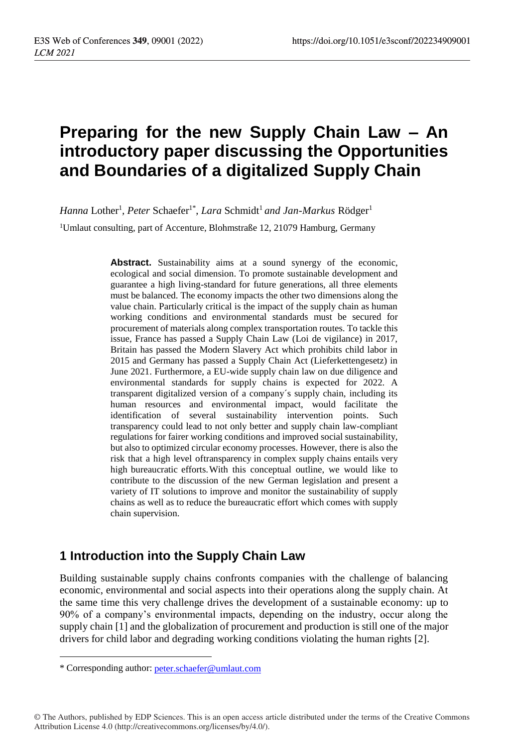# **Preparing for the new Supply Chain Law – An introductory paper discussing the Opportunities and Boundaries of a digitalized Supply Chain**

*Hanna* Lother<sup>1</sup>, *Peter* Schaefer<sup>1\*</sup>, *Lara* Schmidt<sup>1</sup> and Jan-Markus Rödger<sup>1</sup>

<sup>1</sup>Umlaut consulting, part of Accenture, Blohmstraße 12, 21079 Hamburg, Germany

**Abstract.** Sustainability aims at a sound synergy of the economic, ecological and social dimension. To promote sustainable development and guarantee a high living-standard for future generations, all three elements must be balanced. The economy impacts the other two dimensions along the value chain. Particularly critical is the impact of the supply chain as human working conditions and environmental standards must be secured for procurement of materials along complex transportation routes. To tackle this issue, France has passed a Supply Chain Law (Loi de vigilance) in 2017, Britain has passed the Modern Slavery Act which prohibits child labor in 2015 and Germany has passed a Supply Chain Act (Lieferkettengesetz) in June 2021. Furthermore, a EU-wide supply chain law on due diligence and environmental standards for supply chains is expected for 2022. A transparent digitalized version of a company´s supply chain, including its human resources and environmental impact, would facilitate the identification of several sustainability intervention points. Such transparency could lead to not only better and supply chain law-compliant regulations for fairer working conditions and improved social sustainability, but also to optimized circular economy processes. However, there is also the risk that a high level oftransparency in complex supply chains entails very high bureaucratic efforts.With this conceptual outline, we would like to contribute to the discussion of the new German legislation and present a variety of IT solutions to improve and monitor the sustainability of supply chains as well as to reduce the bureaucratic effort which comes with supply chain supervision.

## **1 Introduction into the Supply Chain Law**

Building sustainable supply chains confronts companies with the challenge of balancing economic, environmental and social aspects into their operations along the supply chain. At the same time this very challenge drives the development of a sustainable economy: up to 90% of a company's environmental impacts, depending on the industry, occur along the supply chain [1] and the globalization of procurement and production is still one of the major drivers for child labor and degrading working conditions violating the human rights [2].

© The Authors, published by EDP Sciences. This is an open access article distributed under the terms of the Creative Commons Attribution License 4.0 (http://creativecommons.org/licenses/by/4.0/).

<sup>\*</sup> Corresponding author: [peter.schaefer@umlaut.com](mailto:peter.schaefer@umlaut.com)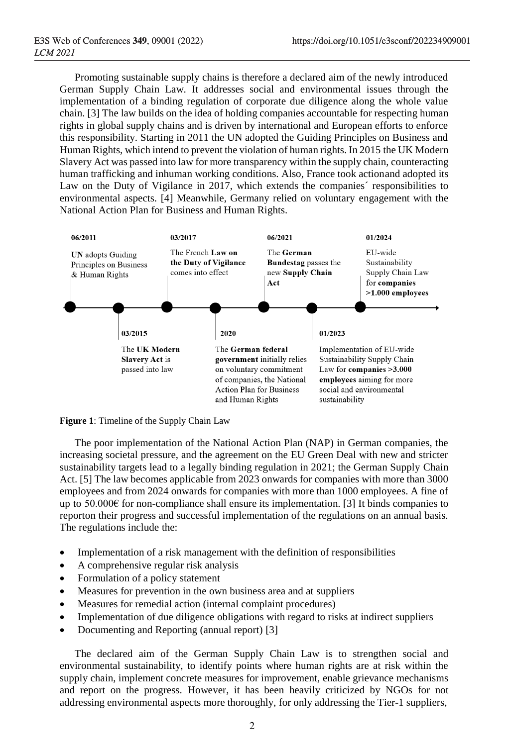Promoting sustainable supply chains is therefore a declared aim of the newly introduced German Supply Chain Law. It addresses social and environmental issues through the implementation of a binding regulation of corporate due diligence along the whole value chain. [3] The law builds on the idea of holding companies accountable for respecting human rights in global supply chains and is driven by international and European efforts to enforce this responsibility. Starting in 2011 the UN adopted the Guiding Principles on Business and Human Rights, which intend to prevent the violation of human rights. In 2015 the UK Modern Slavery Act was passed into law for more transparency within the supply chain, counteracting human trafficking and inhuman working conditions. Also, France took actionand adopted its Law on the Duty of Vigilance in 2017, which extends the companies´ responsibilities to environmental aspects. [4] Meanwhile, Germany relied on voluntary engagement with the National Action Plan for Business and Human Rights.



**Figure 1**: Timeline of the Supply Chain Law

The poor implementation of the National Action Plan (NAP) in German companies, the increasing societal pressure, and the agreement on the EU Green Deal with new and stricter sustainability targets lead to a legally binding regulation in 2021; the German Supply Chain Act. [5] The law becomes applicable from 2023 onwards for companies with more than 3000 employees and from 2024 onwards for companies with more than 1000 employees. A fine of up to 50.000€ for non-compliance shall ensure its implementation. [3] It binds companies to reporton their progress and successful implementation of the regulations on an annual basis. The regulations include the:

- Implementation of a risk management with the definition of responsibilities
- A comprehensive regular risk analysis
- Formulation of a policy statement
- Measures for prevention in the own business area and at suppliers
- Measures for remedial action (internal complaint procedures)
- Implementation of due diligence obligations with regard to risks at indirect suppliers
- Documenting and Reporting (annual report) [3]

The declared aim of the German Supply Chain Law is to strengthen social and environmental sustainability, to identify points where human rights are at risk within the supply chain, implement concrete measures for improvement, enable grievance mechanisms and report on the progress. However, it has been heavily criticized by NGOs for not addressing environmental aspects more thoroughly, for only addressing the Tier-1 suppliers,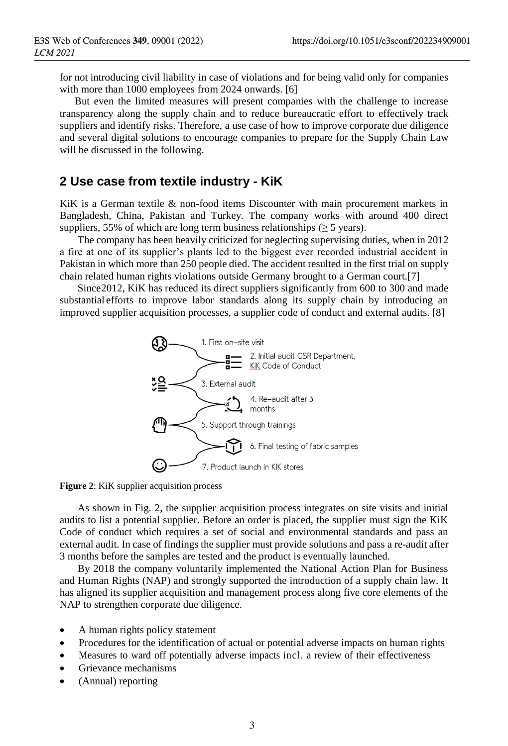for not introducing civil liability in case of violations and for being valid only for companies with more than 1000 employees from 2024 onwards. [6]

But even the limited measures will present companies with the challenge to increase transparency along the supply chain and to reduce bureaucratic effort to effectively track suppliers and identify risks. Therefore, a use case of how to improve corporate due diligence and several digital solutions to encourage companies to prepare for the Supply Chain Law will be discussed in the following.

#### **2 Use case from textile industry - KiK**

KiK is a German textile & non-food items Discounter with main procurement markets in Bangladesh, China, Pakistan and Turkey. The company works with around 400 direct suppliers, 55% of which are long term business relationships ( $\geq$  5 years).

The company has been heavily criticized for neglecting supervising duties, when in 2012 a fire at one of its supplier's plants led to the biggest ever recorded industrial accident in Pakistan in which more than 250 people died. The accident resulted in the first trial on supply chain related human rights violations outside Germany brought to a German court.[7]

Since2012, KiK has reduced its direct suppliers significantly from 600 to 300 and made substantial efforts to improve labor standards along its supply chain by introducing an improved supplier acquisition processes, a supplier code of conduct and external audits. [8]



**Figure 2**: KiK supplier acquisition process

As shown in Fig. 2, the supplier acquisition process integrates on site visits and initial audits to list a potential supplier. Before an order is placed, the supplier must sign the KiK Code of conduct which requires a set of social and environmental standards and pass an external audit. In case of findings the supplier must provide solutions and pass a re-audit after 3 months before the samples are tested and the product is eventually launched.

By 2018 the company voluntarily implemented the National Action Plan for Business and Human Rights (NAP) and strongly supported the introduction of a supply chain law. It has aligned its supplier acquisition and management process along five core elements of the NAP to strengthen corporate due diligence.

- A human rights policy statement
- Procedures for the identification of actual or potential adverse impacts on human rights
- Measures to ward off potentially adverse impacts incl. a review of their effectiveness
- Grievance mechanisms
- (Annual) reporting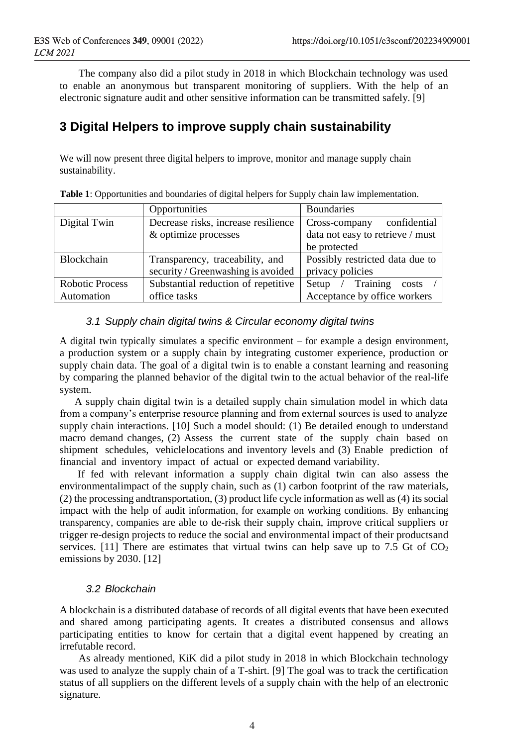The company also did a pilot study in 2018 in which Blockchain technology was used to enable an anonymous but transparent monitoring of suppliers. With the help of an electronic signature audit and other sensitive information can be transmitted safely. [9]

## **3 Digital Helpers to improve supply chain sustainability**

We will now present three digital helpers to improve, monitor and manage supply chain sustainability.

|                        | Opportunities                       | <b>Boundaries</b>                |
|------------------------|-------------------------------------|----------------------------------|
| Digital Twin           | Decrease risks, increase resilience | confidential<br>Cross-company    |
|                        | & optimize processes                | data not easy to retrieve / must |
|                        |                                     | be protected                     |
| <b>Blockchain</b>      | Transparency, traceability, and     | Possibly restricted data due to  |
|                        | security / Greenwashing is avoided  | privacy policies                 |
| <b>Robotic Process</b> | Substantial reduction of repetitive | Setup / Training<br>costs        |
| Automation             | office tasks                        | Acceptance by office workers     |

**Table 1**: Opportunities and boundaries of digital helpers for Supply chain law implementation.

#### *3.1 Supply chain digital twins & Circular economy digital twins*

A digital twin typically simulates a specific environment – for example a design environment, a production system or a supply chain by integrating customer experience, production or supply chain data. The goal of a digital twin is to enable a constant learning and reasoning by comparing the planned behavior of the digital twin to the actual behavior of the real-life system.

A supply chain digital twin is a detailed supply chain simulation model in which data from a company's enterprise resource planning and from external sources is used to analyze supply chain interactions. [10] Such a model should: (1) Be detailed enough to understand macro demand changes, (2) Assess the current state of the supply chain based on shipment schedules, vehiclelocations and inventory levels and (3) Enable prediction of financial and inventory impact of actual or expected demand variability.

If fed with relevant information a supply chain digital twin can also assess the environmentalimpact of the supply chain, such as (1) carbon footprint of the raw materials, (2) the processing andtransportation, (3) product life cycle information as well as (4) its social impact with the help of audit information, for example on working conditions. By enhancing transparency, companies are able to de-risk their supply chain, improve critical suppliers or trigger re-design projects to reduce the social and environmental impact of their productsand services. [11] There are estimates that virtual twins can help save up to 7.5 Gt of  $CO<sub>2</sub>$ emissions by 2030. [12]

#### *3.2 Blockchain*

A blockchain is a distributed database of records of all digital events that have been executed and shared among participating agents. It creates a distributed consensus and allows participating entities to know for certain that a digital event happened by creating an irrefutable record.

As already mentioned, KiK did a pilot study in 2018 in which Blockchain technology was used to analyze the supply chain of a T-shirt. [9] The goal was to track the certification status of all suppliers on the different levels of a supply chain with the help of an electronic signature.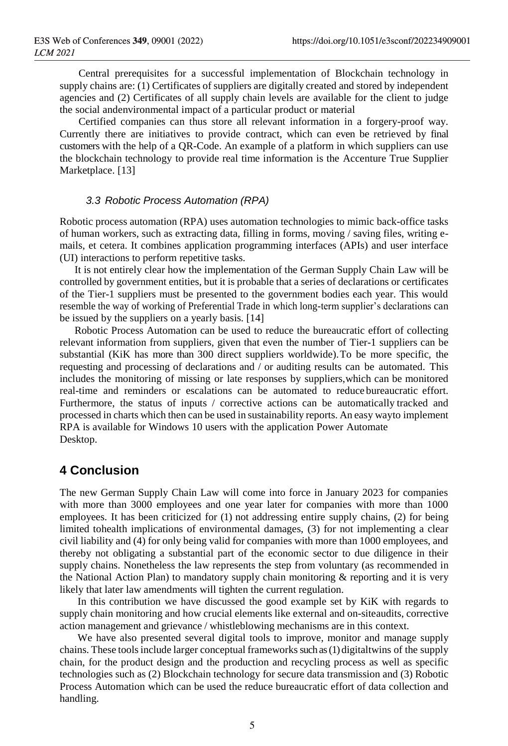Central prerequisites for a successful implementation of Blockchain technology in supply chains are: (1) Certificates of suppliers are digitally created and stored by independent agencies and (2) Certificates of all supply chain levels are available for the client to judge the social andenvironmental impact of a particular product or material

Certified companies can thus store all relevant information in a forgery-proof way. Currently there are initiatives to provide contract, which can even be retrieved by final customers with the help of a QR-Code. An example of a platform in which suppliers can use the blockchain technology to provide real time information is the Accenture True Supplier Marketplace. [13]

#### *3.3 Robotic Process Automation (RPA)*

Robotic process automation (RPA) uses automation technologies to mimic back-office tasks of human workers, such as extracting data, filling in forms, moving / saving files, writing emails, et cetera. It combines application programming interfaces (APIs) and user interface (UI) interactions to perform repetitive tasks.

It is not entirely clear how the implementation of the German Supply Chain Law will be controlled by government entities, but it is probable that a series of declarations or certificates of the Tier-1 suppliers must be presented to the government bodies each year. This would resemble the way of working of Preferential Trade in which long-term supplier's declarations can be issued by the suppliers on a yearly basis. [14]

Robotic Process Automation can be used to reduce the bureaucratic effort of collecting relevant information from suppliers, given that even the number of Tier-1 suppliers can be substantial (KiK has more than 300 direct suppliers worldwide).To be more specific, the requesting and processing of declarations and / or auditing results can be automated. This includes the monitoring of missing or late responses by suppliers,which can be monitored real-time and reminders or escalations can be automated to reduce bureaucratic effort. Furthermore, the status of inputs / corrective actions can be automatically tracked and processed in charts which then can be used in sustainability reports. An easy wayto implement RPA is available for Windows 10 users with the application Power Automate Desktop.

### **4 Conclusion**

The new German Supply Chain Law will come into force in January 2023 for companies with more than 3000 employees and one year later for companies with more than 1000 employees. It has been criticized for (1) not addressing entire supply chains, (2) for being limited tohealth implications of environmental damages, (3) for not implementing a clear civil liability and (4) for only being valid for companies with more than 1000 employees, and thereby not obligating a substantial part of the economic sector to due diligence in their supply chains. Nonetheless the law represents the step from voluntary (as recommended in the National Action Plan) to mandatory supply chain monitoring  $\&$  reporting and it is very likely that later law amendments will tighten the current regulation.

In this contribution we have discussed the good example set by KiK with regards to supply chain monitoring and how crucial elements like external and on-siteaudits, corrective action management and grievance / whistleblowing mechanisms are in this context.

We have also presented several digital tools to improve, monitor and manage supply chains. These toolsinclude larger conceptual frameworks such as (1) digitaltwins of the supply chain, for the product design and the production and recycling process as well as specific technologies such as (2) Blockchain technology for secure data transmission and (3) Robotic Process Automation which can be used the reduce bureaucratic effort of data collection and handling.